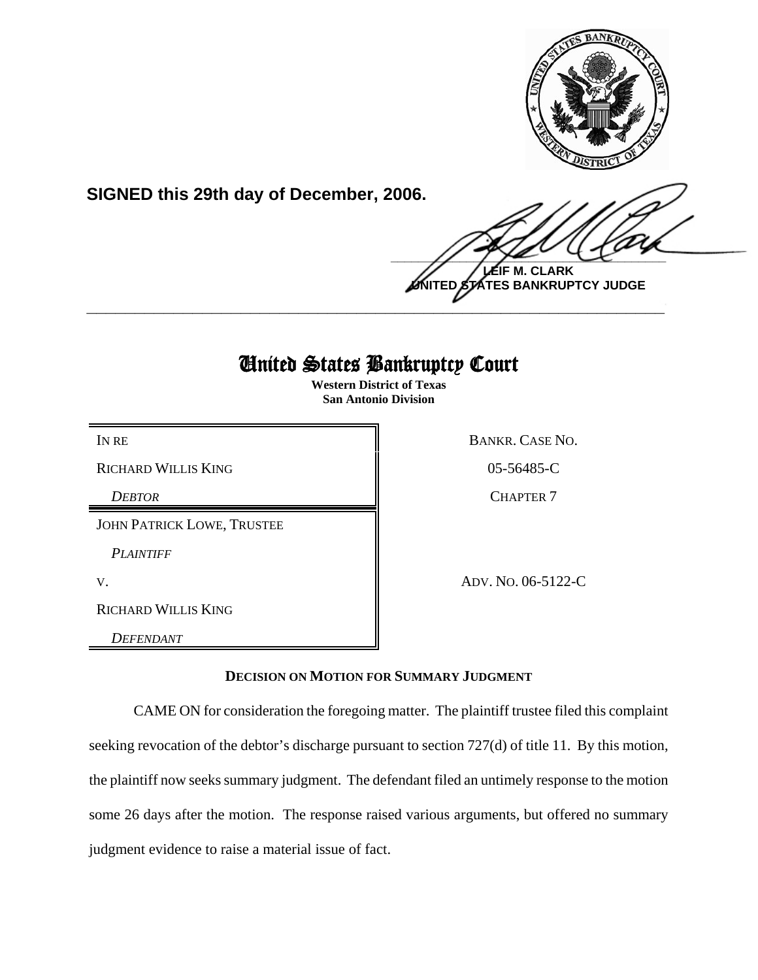

**SIGNED this 29th day of December, 2006.**

 $\frac{1}{2}$ **LEIF M. CLARK**

**UNITED STATES BANKRUPTCY JUDGE \_\_\_\_\_\_\_\_\_\_\_\_\_\_\_\_\_\_\_\_\_\_\_\_\_\_\_\_\_\_\_\_\_\_\_\_\_\_\_\_\_\_\_\_\_\_\_\_\_\_\_\_\_\_\_\_\_\_\_\_**

# United States Bankruptcy Court

**Western District of Texas San Antonio Division**

RICHARD WILLIS KING 8 8 8 8 9 8 9 8 9 8 9 9 10 5 9 8 9 9 9 10 11 12 12 13 8 9 10 11 12 12 13 8 9 10 11 12 12 1

*DEBTOR* CHAPTER 7

JOHN PATRICK LOWE, TRUSTEE

*PLAINTIFF* 

RICHARD WILLIS KING

*DEFENDANT* 

IN RE BANKR. CASE NO.

V. ADV. NO. 06-5122-C

## **DECISION ON MOTION FOR SUMMARY JUDGMENT**

CAME ON for consideration the foregoing matter. The plaintiff trustee filed this complaint seeking revocation of the debtor's discharge pursuant to section 727(d) of title 11. By this motion, the plaintiff now seeks summary judgment. The defendant filed an untimely response to the motion some 26 days after the motion. The response raised various arguments, but offered no summary judgment evidence to raise a material issue of fact.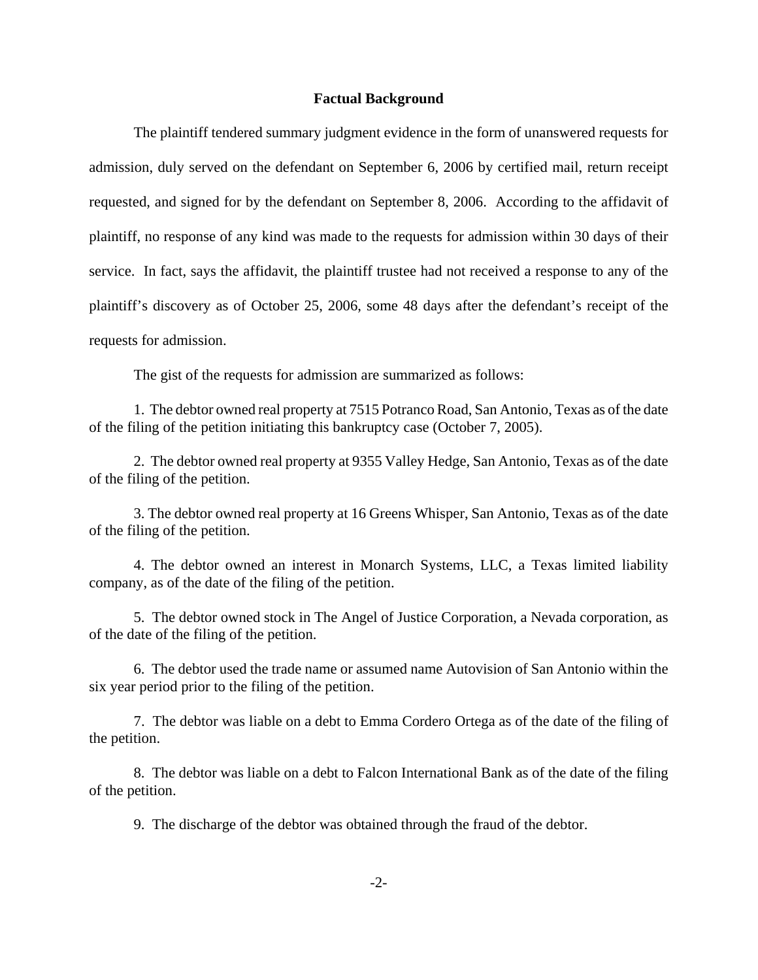### **Factual Background**

The plaintiff tendered summary judgment evidence in the form of unanswered requests for admission, duly served on the defendant on September 6, 2006 by certified mail, return receipt requested, and signed for by the defendant on September 8, 2006. According to the affidavit of plaintiff, no response of any kind was made to the requests for admission within 30 days of their service. In fact, says the affidavit, the plaintiff trustee had not received a response to any of the plaintiff's discovery as of October 25, 2006, some 48 days after the defendant's receipt of the requests for admission.

The gist of the requests for admission are summarized as follows:

1. The debtor owned real property at 7515 Potranco Road, San Antonio, Texas as of the date of the filing of the petition initiating this bankruptcy case (October 7, 2005).

2. The debtor owned real property at 9355 Valley Hedge, San Antonio, Texas as of the date of the filing of the petition.

3. The debtor owned real property at 16 Greens Whisper, San Antonio, Texas as of the date of the filing of the petition.

4. The debtor owned an interest in Monarch Systems, LLC, a Texas limited liability company, as of the date of the filing of the petition.

5. The debtor owned stock in The Angel of Justice Corporation, a Nevada corporation, as of the date of the filing of the petition.

6. The debtor used the trade name or assumed name Autovision of San Antonio within the six year period prior to the filing of the petition.

7. The debtor was liable on a debt to Emma Cordero Ortega as of the date of the filing of the petition.

8. The debtor was liable on a debt to Falcon International Bank as of the date of the filing of the petition.

9. The discharge of the debtor was obtained through the fraud of the debtor.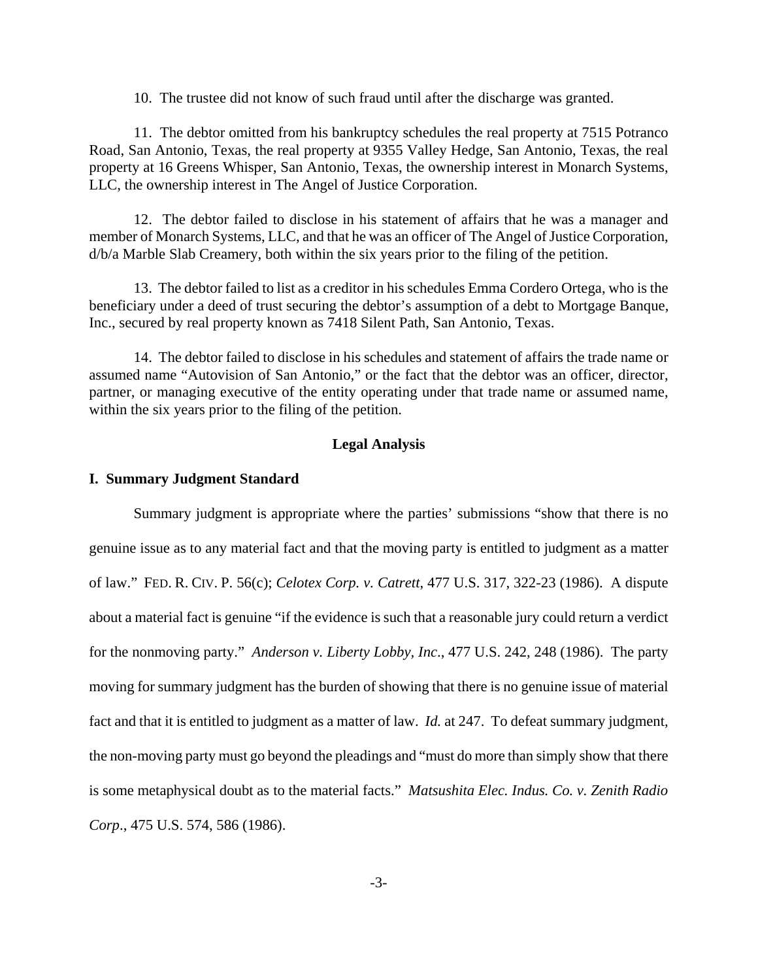10. The trustee did not know of such fraud until after the discharge was granted.

11. The debtor omitted from his bankruptcy schedules the real property at 7515 Potranco Road, San Antonio, Texas, the real property at 9355 Valley Hedge, San Antonio, Texas, the real property at 16 Greens Whisper, San Antonio, Texas, the ownership interest in Monarch Systems, LLC, the ownership interest in The Angel of Justice Corporation.

12. The debtor failed to disclose in his statement of affairs that he was a manager and member of Monarch Systems, LLC, and that he was an officer of The Angel of Justice Corporation, d/b/a Marble Slab Creamery, both within the six years prior to the filing of the petition.

13. The debtor failed to list as a creditor in his schedules Emma Cordero Ortega, who is the beneficiary under a deed of trust securing the debtor's assumption of a debt to Mortgage Banque, Inc., secured by real property known as 7418 Silent Path, San Antonio, Texas.

14. The debtor failed to disclose in his schedules and statement of affairs the trade name or assumed name "Autovision of San Antonio," or the fact that the debtor was an officer, director, partner, or managing executive of the entity operating under that trade name or assumed name, within the six years prior to the filing of the petition.

### **Legal Analysis**

### **I. Summary Judgment Standard**

Summary judgment is appropriate where the parties' submissions "show that there is no genuine issue as to any material fact and that the moving party is entitled to judgment as a matter of law." FED. R. CIV. P. 56(c); *Celotex Corp. v. Catrett*, 477 U.S. 317, 322-23 (1986). A dispute about a material fact is genuine "if the evidence is such that a reasonable jury could return a verdict for the nonmoving party." *Anderson v. Liberty Lobby, Inc*., 477 U.S. 242, 248 (1986). The party moving for summary judgment has the burden of showing that there is no genuine issue of material fact and that it is entitled to judgment as a matter of law. *Id.* at 247. To defeat summary judgment, the non-moving party must go beyond the pleadings and "must do more than simply show that there is some metaphysical doubt as to the material facts." *Matsushita Elec. Indus. Co. v. Zenith Radio Corp*., 475 U.S. 574, 586 (1986).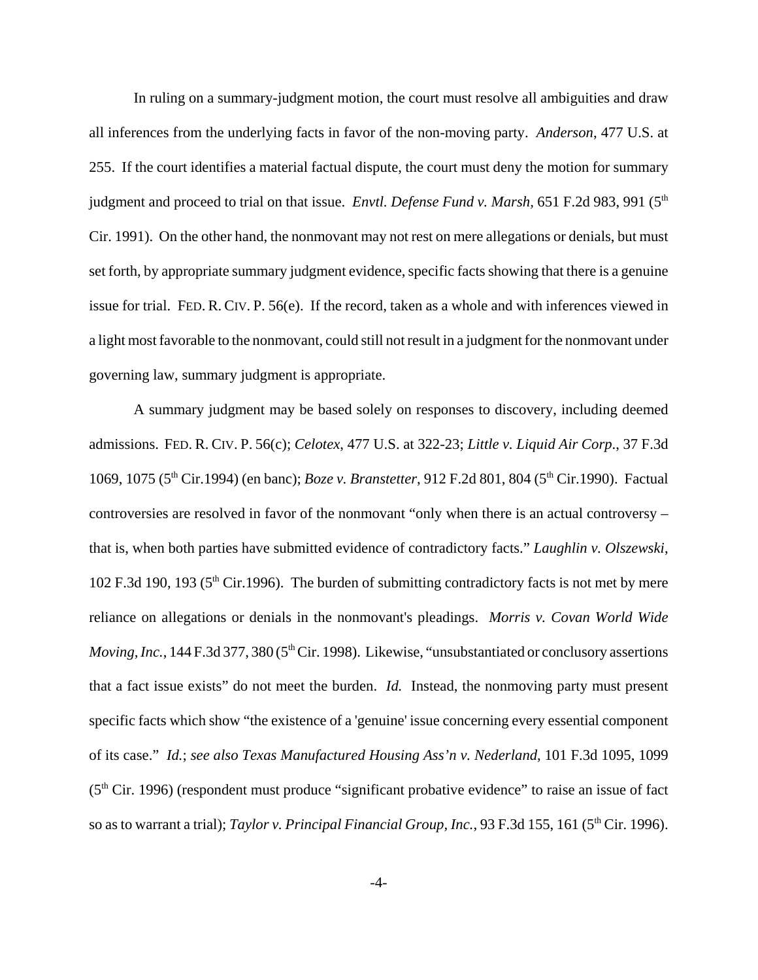In ruling on a summary-judgment motion, the court must resolve all ambiguities and draw all inferences from the underlying facts in favor of the non-moving party. *Anderson*, 477 U.S. at 255. If the court identifies a material factual dispute, the court must deny the motion for summary judgment and proceed to trial on that issue. *Envtl. Defense Fund v. Marsh*, 651 F.2d 983, 991 (5<sup>th</sup>) Cir. 1991). On the other hand, the nonmovant may not rest on mere allegations or denials, but must set forth, by appropriate summary judgment evidence, specific facts showing that there is a genuine issue for trial. FED. R. CIV. P. 56(e). If the record, taken as a whole and with inferences viewed in a light most favorable to the nonmovant, could still not result in a judgment for the nonmovant under governing law, summary judgment is appropriate.

A summary judgment may be based solely on responses to discovery, including deemed admissions. FED. R. CIV. P. 56(c); *Celotex*, 477 U.S. at 322-23; *Little v. Liquid Air Corp*., 37 F.3d 1069, 1075 (5<sup>th</sup> Cir.1994) (en banc); *Boze v. Branstetter*, 912 F.2d 801, 804 (5<sup>th</sup> Cir.1990). Factual controversies are resolved in favor of the nonmovant "only when there is an actual controversy – that is, when both parties have submitted evidence of contradictory facts." *Laughlin v. Olszewski*, 102 F.3d 190, 193 (5th Cir.1996). The burden of submitting contradictory facts is not met by mere reliance on allegations or denials in the nonmovant's pleadings. *Morris v. Covan World Wide Moving, Inc.*, 144 F.3d 377, 380 (5<sup>th</sup> Cir. 1998). Likewise, "unsubstantiated or conclusory assertions that a fact issue exists" do not meet the burden. *Id.* Instead, the nonmoving party must present specific facts which show "the existence of a 'genuine' issue concerning every essential component of its case." *Id.*; *see also Texas Manufactured Housing Ass'n v. Nederland*, 101 F.3d 1095, 1099  $(5<sup>th</sup> Cir. 1996)$  (respondent must produce "significant probative evidence" to raise an issue of fact so as to warrant a trial); *Taylor v. Principal Financial Group, Inc.*, 93 F.3d 155, 161 (5<sup>th</sup> Cir. 1996).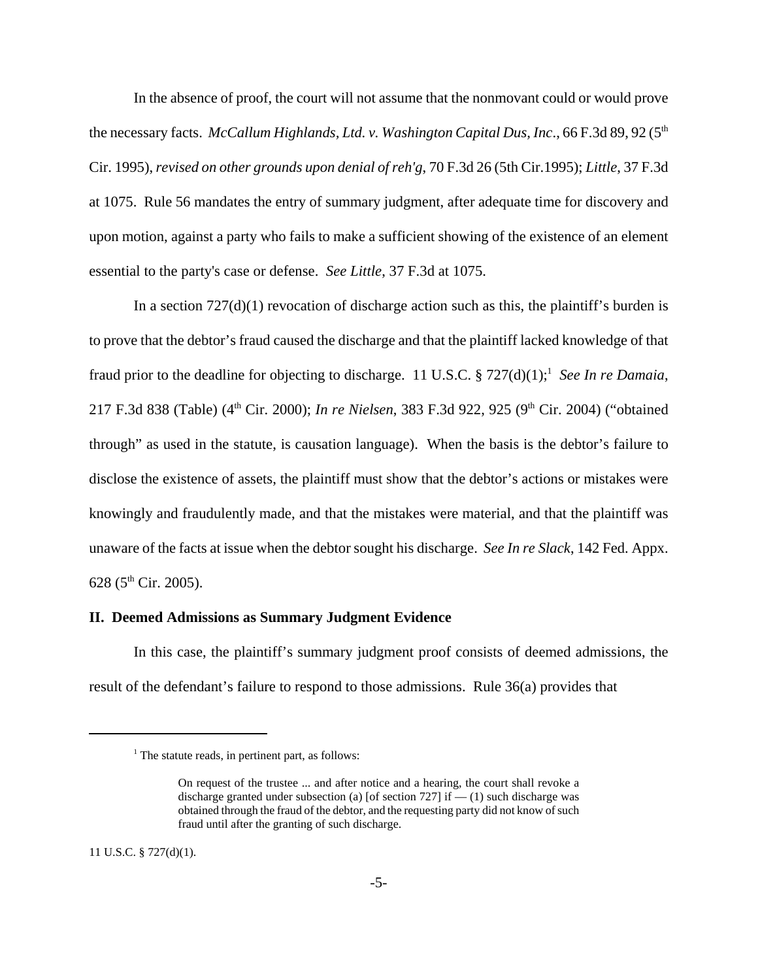In the absence of proof, the court will not assume that the nonmovant could or would prove the necessary facts. *McCallum Highlands, Ltd. v. Washington Capital Dus, Inc.*, 66 F.3d 89, 92 (5<sup>th</sup>) Cir. 1995), *revised on other grounds upon denial of reh'g*, 70 F.3d 26 (5th Cir.1995); *Little*, 37 F.3d at 1075. Rule 56 mandates the entry of summary judgment, after adequate time for discovery and upon motion, against a party who fails to make a sufficient showing of the existence of an element essential to the party's case or defense. *See Little*, 37 F.3d at 1075.

In a section  $727(d)(1)$  revocation of discharge action such as this, the plaintiff's burden is to prove that the debtor's fraud caused the discharge and that the plaintiff lacked knowledge of that fraud prior to the deadline for objecting to discharge. 11 U.S.C. § 727(d)(1);<sup>1</sup> See In re Damaia, 217 F.3d 838 (Table) (4<sup>th</sup> Cir. 2000); *In re Nielsen*, 383 F.3d 922, 925 (9<sup>th</sup> Cir. 2004) ("obtained through" as used in the statute, is causation language). When the basis is the debtor's failure to disclose the existence of assets, the plaintiff must show that the debtor's actions or mistakes were knowingly and fraudulently made, and that the mistakes were material, and that the plaintiff was unaware of the facts at issue when the debtor sought his discharge. *See In re Slack*, 142 Fed. Appx. 628 ( $5^{\text{th}}$  Cir. 2005).

#### **II. Deemed Admissions as Summary Judgment Evidence**

In this case, the plaintiff's summary judgment proof consists of deemed admissions, the result of the defendant's failure to respond to those admissions. Rule 36(a) provides that

11 U.S.C. § 727(d)(1).

<sup>&</sup>lt;sup>1</sup> The statute reads, in pertinent part, as follows:

On request of the trustee ... and after notice and a hearing, the court shall revoke a discharge granted under subsection (a) [of section 727] if  $-$  (1) such discharge was obtained through the fraud of the debtor, and the requesting party did not know of such fraud until after the granting of such discharge.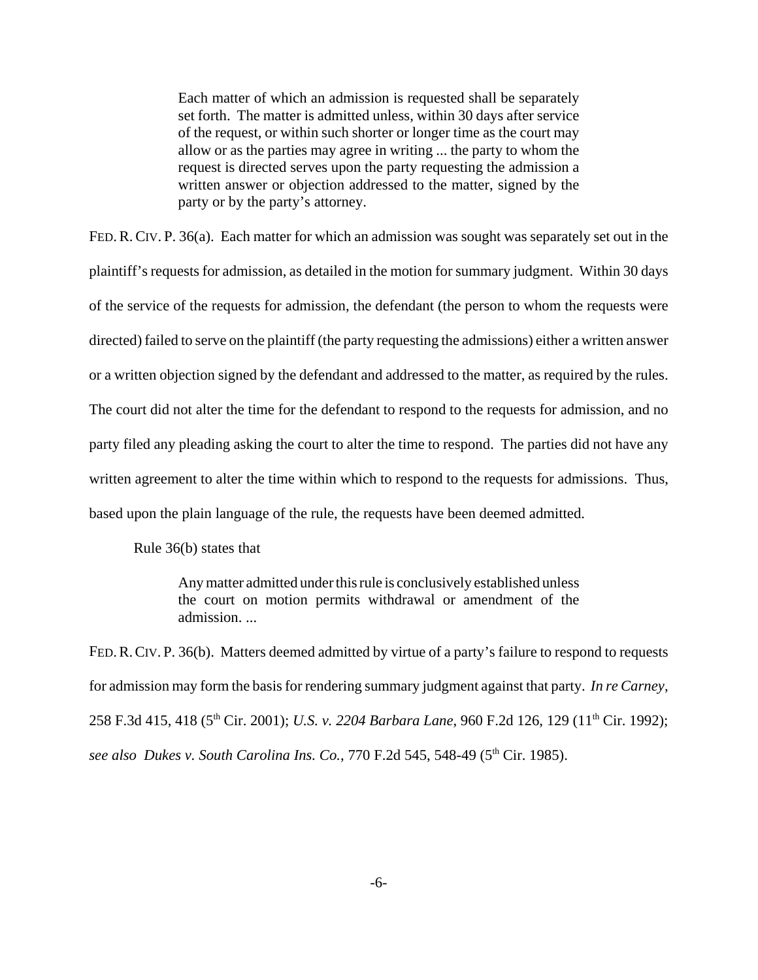Each matter of which an admission is requested shall be separately set forth. The matter is admitted unless, within 30 days after service of the request, or within such shorter or longer time as the court may allow or as the parties may agree in writing ... the party to whom the request is directed serves upon the party requesting the admission a written answer or objection addressed to the matter, signed by the party or by the party's attorney.

FED.R.CIV. P. 36(a). Each matter for which an admission was sought was separately set out in the plaintiff's requests for admission, as detailed in the motion for summary judgment. Within 30 days of the service of the requests for admission, the defendant (the person to whom the requests were directed) failed to serve on the plaintiff (the party requesting the admissions) either a written answer or a written objection signed by the defendant and addressed to the matter, as required by the rules. The court did not alter the time for the defendant to respond to the requests for admission, and no party filed any pleading asking the court to alter the time to respond. The parties did not have any written agreement to alter the time within which to respond to the requests for admissions. Thus, based upon the plain language of the rule, the requests have been deemed admitted.

Rule 36(b) states that

Any matter admitted under this rule is conclusively established unless the court on motion permits withdrawal or amendment of the admission. ...

FED. R. CIV. P. 36(b). Matters deemed admitted by virtue of a party's failure to respond to requests for admission may form the basis for rendering summary judgment against that party. *In re Carney*, 258 F.3d 415, 418 (5<sup>th</sup> Cir. 2001); *U.S. v. 2204 Barbara Lane*, 960 F.2d 126, 129 (11<sup>th</sup> Cir. 1992); *see also Dukes v. South Carolina Ins. Co.*, 770 F.2d 545, 548-49 (5<sup>th</sup> Cir. 1985).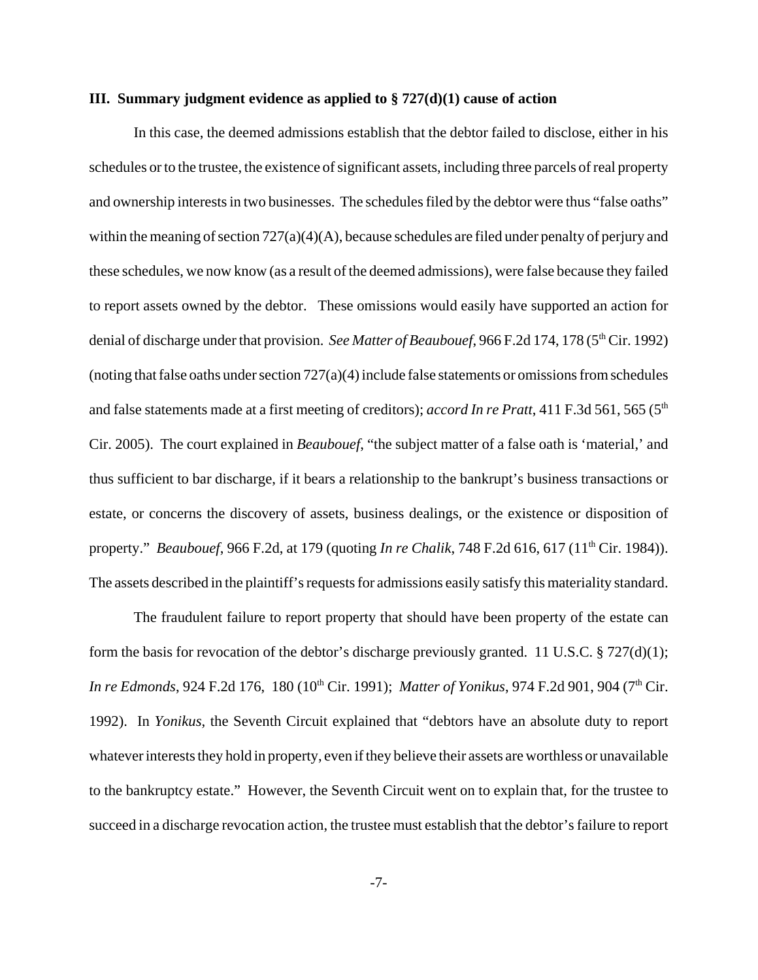#### **III. Summary judgment evidence as applied to § 727(d)(1) cause of action**

In this case, the deemed admissions establish that the debtor failed to disclose, either in his schedules or to the trustee, the existence of significant assets, including three parcels of real property and ownership interests in two businesses. The schedules filed by the debtor were thus "false oaths" within the meaning of section  $727(a)(4)(A)$ , because schedules are filed under penalty of perjury and these schedules, we now know (as a result of the deemed admissions), were false because they failed to report assets owned by the debtor. These omissions would easily have supported an action for denial of discharge under that provision. *See Matter of Beaubouef*, 966 F.2d 174, 178 (5<sup>th</sup> Cir. 1992) (noting that false oaths under section  $727(a)(4)$  include false statements or omissions from schedules and false statements made at a first meeting of creditors); *accord In re Pratt*, 411 F.3d 561, 565 (5<sup>th</sup>) Cir. 2005). The court explained in *Beaubouef*, "the subject matter of a false oath is 'material,' and thus sufficient to bar discharge, if it bears a relationship to the bankrupt's business transactions or estate, or concerns the discovery of assets, business dealings, or the existence or disposition of property." *Beaubouef*, 966 F.2d, at 179 (quoting *In re Chalik*, 748 F.2d 616, 617 (11th Cir. 1984)). The assets described in the plaintiff's requests for admissions easily satisfy this materiality standard.

The fraudulent failure to report property that should have been property of the estate can form the basis for revocation of the debtor's discharge previously granted. 11 U.S.C. § 727(d)(1); *In re Edmonds*, 924 F.2d 176, 180 (10<sup>th</sup> Cir. 1991); *Matter of Yonikus*, 974 F.2d 901, 904 (7<sup>th</sup> Cir. 1992). In *Yonikus*, the Seventh Circuit explained that "debtors have an absolute duty to report whatever interests they hold in property, even if they believe their assets are worthless or unavailable to the bankruptcy estate." However, the Seventh Circuit went on to explain that, for the trustee to succeed in a discharge revocation action, the trustee must establish that the debtor's failure to report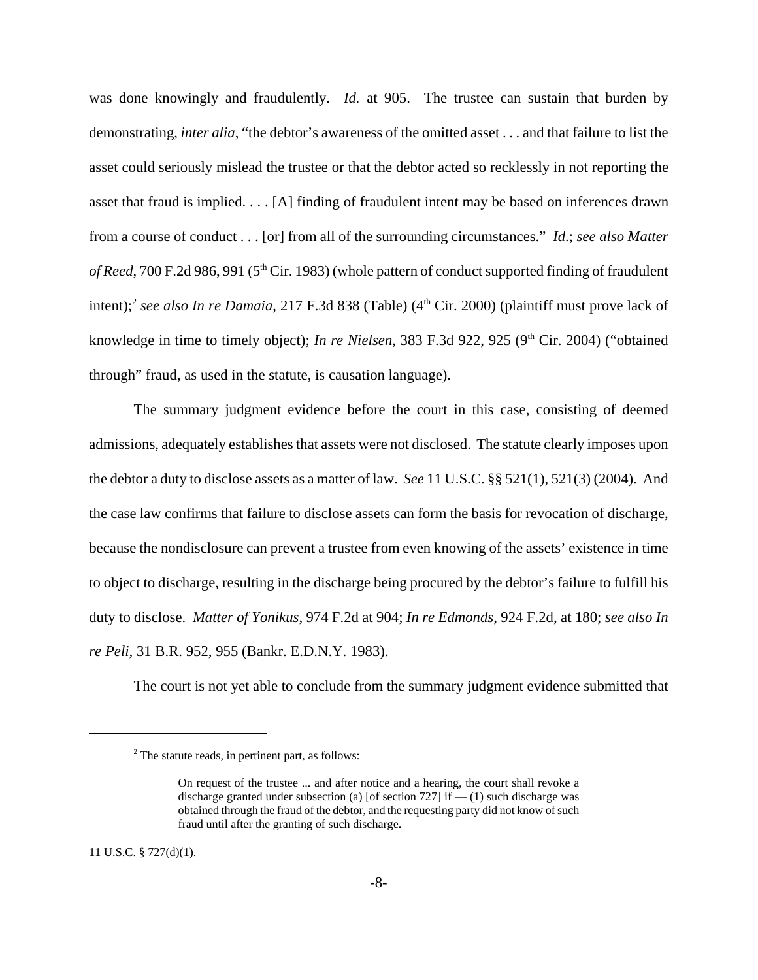was done knowingly and fraudulently. *Id.* at 905. The trustee can sustain that burden by demonstrating, *inter alia*, "the debtor's awareness of the omitted asset . . . and that failure to list the asset could seriously mislead the trustee or that the debtor acted so recklessly in not reporting the asset that fraud is implied. . . . [A] finding of fraudulent intent may be based on inferences drawn from a course of conduct . . . [or] from all of the surrounding circumstances." *Id*.; *see also Matter of Reed*, 700 F.2d 986, 991 (5<sup>th</sup> Cir. 1983) (whole pattern of conduct supported finding of fraudulent intent);<sup>2</sup> see also In re Damaia, 217 F.3d 838 (Table) (4<sup>th</sup> Cir. 2000) (plaintiff must prove lack of knowledge in time to timely object); *In re Nielsen*, 383 F.3d 922, 925 (9<sup>th</sup> Cir. 2004) ("obtained through" fraud, as used in the statute, is causation language).

The summary judgment evidence before the court in this case, consisting of deemed admissions, adequately establishes that assets were not disclosed. The statute clearly imposes upon the debtor a duty to disclose assets as a matter of law. *See* 11 U.S.C. §§ 521(1), 521(3) (2004). And the case law confirms that failure to disclose assets can form the basis for revocation of discharge, because the nondisclosure can prevent a trustee from even knowing of the assets' existence in time to object to discharge, resulting in the discharge being procured by the debtor's failure to fulfill his duty to disclose. *Matter of Yonikus*, 974 F.2d at 904; *In re Edmonds*, 924 F.2d, at 180; *see also In re Peli*, 31 B.R. 952, 955 (Bankr. E.D.N.Y. 1983).

The court is not yet able to conclude from the summary judgment evidence submitted that

11 U.S.C. § 727(d)(1).

<sup>2</sup> The statute reads, in pertinent part, as follows:

On request of the trustee ... and after notice and a hearing, the court shall revoke a discharge granted under subsection (a) [of section 727] if  $-$  (1) such discharge was obtained through the fraud of the debtor, and the requesting party did not know of such fraud until after the granting of such discharge.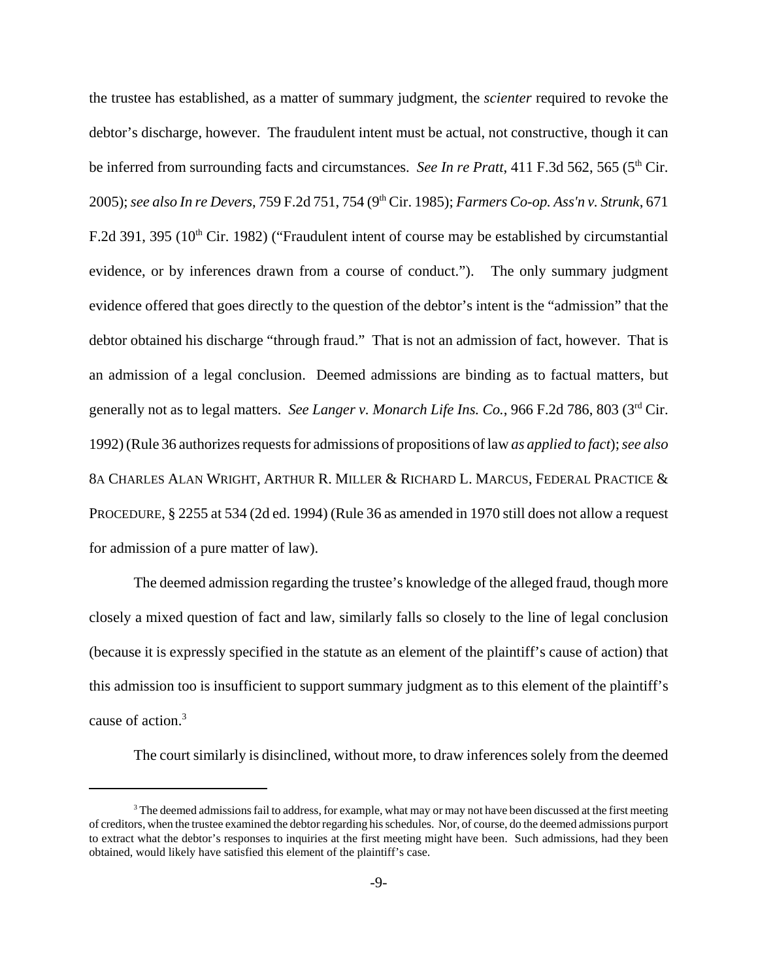the trustee has established, as a matter of summary judgment, the *scienter* required to revoke the debtor's discharge, however. The fraudulent intent must be actual, not constructive, though it can be inferred from surrounding facts and circumstances. *See In re Pratt*, 411 F.3d 562, 565 (5<sup>th</sup> Cir. 2005); *see also In re Devers*, 759 F.2d 751, 754 (9th Cir. 1985); *Farmers Co-op. Ass'n v. Strunk*, 671 F.2d 391, 395 (10<sup>th</sup> Cir. 1982) ("Fraudulent intent of course may be established by circumstantial evidence, or by inferences drawn from a course of conduct."). The only summary judgment evidence offered that goes directly to the question of the debtor's intent is the "admission" that the debtor obtained his discharge "through fraud." That is not an admission of fact, however. That is an admission of a legal conclusion. Deemed admissions are binding as to factual matters, but generally not as to legal matters. *See Langer v. Monarch Life Ins. Co.*, 966 F.2d 786, 803 (3rd Cir. 1992) (Rule 36 authorizes requests for admissions of propositions of law *as applied to fact*); *see also* 8A CHARLES ALAN WRIGHT, ARTHUR R. MILLER & RICHARD L. MARCUS, FEDERAL PRACTICE & PROCEDURE, § 2255 at 534 (2d ed. 1994) (Rule 36 as amended in 1970 still does not allow a request for admission of a pure matter of law).

The deemed admission regarding the trustee's knowledge of the alleged fraud, though more closely a mixed question of fact and law, similarly falls so closely to the line of legal conclusion (because it is expressly specified in the statute as an element of the plaintiff's cause of action) that this admission too is insufficient to support summary judgment as to this element of the plaintiff's cause of action.<sup>3</sup>

The court similarly is disinclined, without more, to draw inferences solely from the deemed

 $3$  The deemed admissions fail to address, for example, what may or may not have been discussed at the first meeting of creditors, when the trustee examined the debtor regarding his schedules. Nor, of course, do the deemed admissions purport to extract what the debtor's responses to inquiries at the first meeting might have been. Such admissions, had they been obtained, would likely have satisfied this element of the plaintiff's case.